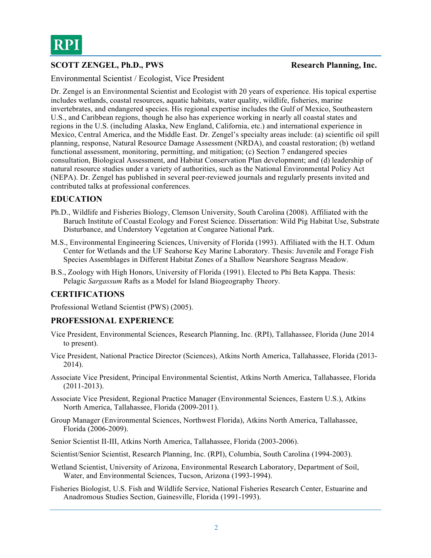# **SCOTT ZENGEL, Ph.D., PWS** Research Planning, Inc.

Environmental Scientist / Ecologist, Vice President

Dr. Zengel is an Environmental Scientist and Ecologist with 20 years of experience. His topical expertise includes wetlands, coastal resources, aquatic habitats, water quality, wildlife, fisheries, marine invertebrates, and endangered species. His regional expertise includes the Gulf of Mexico, Southeastern U.S., and Caribbean regions, though he also has experience working in nearly all coastal states and regions in the U.S. (including Alaska, New England, California, etc.) and international experience in Mexico, Central America, and the Middle East. Dr. Zengel's specialty areas include: (a) scientific oil spill planning, response, Natural Resource Damage Assessment (NRDA), and coastal restoration; (b) wetland functional assessment, monitoring, permitting, and mitigation; (c) Section 7 endangered species consultation, Biological Assessment, and Habitat Conservation Plan development; and (d) leadership of natural resource studies under a variety of authorities, such as the National Environmental Policy Act (NEPA). Dr. Zengel has published in several peer-reviewed journals and regularly presents invited and contributed talks at professional conferences.

## **EDUCATION**

- Ph.D., Wildlife and Fisheries Biology, Clemson University, South Carolina (2008). Affiliated with the Baruch Institute of Coastal Ecology and Forest Science. Dissertation: Wild Pig Habitat Use, Substrate Disturbance, and Understory Vegetation at Congaree National Park.
- M.S., Environmental Engineering Sciences, University of Florida (1993). Affiliated with the H.T. Odum Center for Wetlands and the UF Seahorse Key Marine Laboratory. Thesis: Juvenile and Forage Fish Species Assemblages in Different Habitat Zones of a Shallow Nearshore Seagrass Meadow.
- B.S., Zoology with High Honors, University of Florida (1991). Elected to Phi Beta Kappa. Thesis: Pelagic *Sargassum* Rafts as a Model for Island Biogeography Theory.

## **CERTIFICATIONS**

Professional Wetland Scientist (PWS) (2005).

## **PROFESSIONAL EXPERIENCE**

- Vice President, Environmental Sciences, Research Planning, Inc. (RPI), Tallahassee, Florida (June 2014 to present).
- Vice President, National Practice Director (Sciences), Atkins North America, Tallahassee, Florida (2013- 2014).
- Associate Vice President, Principal Environmental Scientist, Atkins North America, Tallahassee, Florida (2011-2013).
- Associate Vice President, Regional Practice Manager (Environmental Sciences, Eastern U.S.), Atkins North America, Tallahassee, Florida (2009-2011).
- Group Manager (Environmental Sciences, Northwest Florida), Atkins North America, Tallahassee, Florida (2006-2009).
- Senior Scientist II-III, Atkins North America, Tallahassee, Florida (2003-2006).
- Scientist/Senior Scientist, Research Planning, Inc. (RPI), Columbia, South Carolina (1994-2003).
- Wetland Scientist, University of Arizona, Environmental Research Laboratory, Department of Soil, Water, and Environmental Sciences, Tucson, Arizona (1993-1994).
- Fisheries Biologist, U.S. Fish and Wildlife Service, National Fisheries Research Center, Estuarine and Anadromous Studies Section, Gainesville, Florida (1991-1993).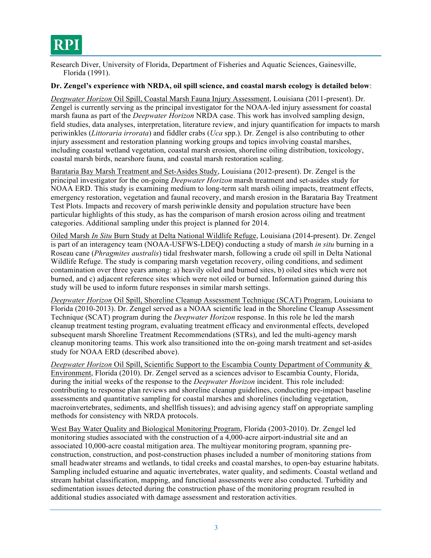# **RPI**

Research Diver, University of Florida, Department of Fisheries and Aquatic Sciences, Gainesville, Florida (1991).

### **Dr. Zengel's experience with NRDA, oil spill science, and coastal marsh ecology is detailed below**:

*Deepwater Horizon* Oil Spill, Coastal Marsh Fauna Injury Assessment, Louisiana (2011-present). Dr. Zengel is currently serving as the principal investigator for the NOAA-led injury assessment for coastal marsh fauna as part of the *Deepwater Horizon* NRDA case. This work has involved sampling design, field studies, data analyses, interpretation, literature review, and injury quantification for impacts to marsh periwinkles (*Littoraria irrorata*) and fiddler crabs (*Uca* spp.). Dr. Zengel is also contributing to other injury assessment and restoration planning working groups and topics involving coastal marshes, including coastal wetland vegetation, coastal marsh erosion, shoreline oiling distribution, toxicology, coastal marsh birds, nearshore fauna, and coastal marsh restoration scaling.

Barataria Bay Marsh Treatment and Set-Asides Study, Louisiana (2012-present). Dr. Zengel is the principal investigator for the on-going *Deepwater Horizon* marsh treatment and set-asides study for NOAA ERD. This study is examining medium to long-term salt marsh oiling impacts, treatment effects, emergency restoration, vegetation and faunal recovery, and marsh erosion in the Barataria Bay Treatment Test Plots. Impacts and recovery of marsh periwinkle density and population structure have been particular highlights of this study, as has the comparison of marsh erosion across oiling and treatment categories. Additional sampling under this project is planned for 2014.

Oiled Marsh *In Situ* Burn Study at Delta National Wildlife Refuge, Louisiana (2014-present). Dr. Zengel is part of an interagency team (NOAA-USFWS-LDEQ) conducting a study of marsh *in situ* burning in a Roseau cane (*Phragmites australis*) tidal freshwater marsh, following a crude oil spill in Delta National Wildlife Refuge. The study is comparing marsh vegetation recovery, oiling conditions, and sediment contamination over three years among: a) heavily oiled and burned sites, b) oiled sites which were not burned, and c) adjacent reference sites which were not oiled or burned. Information gained during this study will be used to inform future responses in similar marsh settings.

*Deepwater Horizon* Oil Spill, Shoreline Cleanup Assessment Technique (SCAT) Program, Louisiana to Florida (2010-2013). Dr. Zengel served as a NOAA scientific lead in the Shoreline Cleanup Assessment Technique (SCAT) program during the *Deepwater Horizon* response. In this role he led the marsh cleanup treatment testing program, evaluating treatment efficacy and environmental effects, developed subsequent marsh Shoreline Treatment Recommendations (STRs), and led the multi-agency marsh cleanup monitoring teams. This work also transitioned into the on-going marsh treatment and set-asides study for NOAA ERD (described above).

*Deepwater Horizon* Oil Spill, Scientific Support to the Escambia County Department of Community & Environment, Florida (2010). Dr. Zengel served as a sciences advisor to Escambia County, Florida, during the initial weeks of the response to the *Deepwater Horizon* incident. This role included: contributing to response plan reviews and shoreline cleanup guidelines, conducting pre-impact baseline assessments and quantitative sampling for coastal marshes and shorelines (including vegetation, macroinvertebrates, sediments, and shellfish tissues); and advising agency staff on appropriate sampling methods for consistency with NRDA protocols.

West Bay Water Quality and Biological Monitoring Program, Florida (2003-2010). Dr. Zengel led monitoring studies associated with the construction of a 4,000-acre airport-industrial site and an associated 10,000-acre coastal mitigation area. The multiyear monitoring program, spanning preconstruction, construction, and post-construction phases included a number of monitoring stations from small headwater streams and wetlands, to tidal creeks and coastal marshes, to open-bay estuarine habitats. Sampling included estuarine and aquatic invertebrates, water quality, and sediments. Coastal wetland and stream habitat classification, mapping, and functional assessments were also conducted. Turbidity and sedimentation issues detected during the construction phase of the monitoring program resulted in additional studies associated with damage assessment and restoration activities.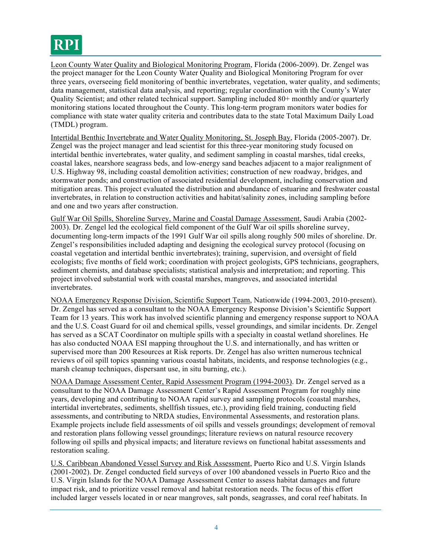

Leon County Water Quality and Biological Monitoring Program, Florida (2006-2009). Dr. Zengel was the project manager for the Leon County Water Quality and Biological Monitoring Program for over three years, overseeing field monitoring of benthic invertebrates, vegetation, water quality, and sediments; data management, statistical data analysis, and reporting; regular coordination with the County's Water Quality Scientist; and other related technical support. Sampling included 80+ monthly and/or quarterly monitoring stations located throughout the County. This long-term program monitors water bodies for compliance with state water quality criteria and contributes data to the state Total Maximum Daily Load (TMDL) program.

Intertidal Benthic Invertebrate and Water Quality Monitoring, St. Joseph Bay, Florida (2005-2007). Dr. Zengel was the project manager and lead scientist for this three-year monitoring study focused on intertidal benthic invertebrates, water quality, and sediment sampling in coastal marshes, tidal creeks, coastal lakes, nearshore seagrass beds, and low-energy sand beaches adjacent to a major realignment of U.S. Highway 98, including coastal demolition activities; construction of new roadway, bridges, and stormwater ponds; and construction of associated residential development, including conservation and mitigation areas. This project evaluated the distribution and abundance of estuarine and freshwater coastal invertebrates, in relation to construction activities and habitat/salinity zones, including sampling before and one and two years after construction.

Gulf War Oil Spills, Shoreline Survey, Marine and Coastal Damage Assessment, Saudi Arabia (2002- 2003). Dr. Zengel led the ecological field component of the Gulf War oil spills shoreline survey, documenting long-term impacts of the 1991 Gulf War oil spills along roughly 500 miles of shoreline. Dr. Zengel's responsibilities included adapting and designing the ecological survey protocol (focusing on coastal vegetation and intertidal benthic invertebrates); training, supervision, and oversight of field ecologists; five months of field work; coordination with project geologists, GPS technicians, geographers, sediment chemists, and database specialists; statistical analysis and interpretation; and reporting. This project involved substantial work with coastal marshes, mangroves, and associated intertidal invertebrates.

NOAA Emergency Response Division, Scientific Support Team, Nationwide (1994-2003, 2010-present). Dr. Zengel has served as a consultant to the NOAA Emergency Response Division's Scientific Support Team for 13 years. This work has involved scientific planning and emergency response support to NOAA and the U.S. Coast Guard for oil and chemical spills, vessel groundings, and similar incidents. Dr. Zengel has served as a SCAT Coordinator on multiple spills with a specialty in coastal wetland shorelines. He has also conducted NOAA ESI mapping throughout the U.S. and internationally, and has written or supervised more than 200 Resources at Risk reports. Dr. Zengel has also written numerous technical reviews of oil spill topics spanning various coastal habitats, incidents, and response technologies (e.g., marsh cleanup techniques, dispersant use, in situ burning, etc.).

NOAA Damage Assessment Center, Rapid Assessment Program (1994-2003). Dr. Zengel served as a consultant to the NOAA Damage Assessment Center's Rapid Assessment Program for roughly nine years, developing and contributing to NOAA rapid survey and sampling protocols (coastal marshes, intertidal invertebrates, sediments, shellfish tissues, etc.), providing field training, conducting field assessments, and contributing to NRDA studies, Environmental Assessments, and restoration plans. Example projects include field assessments of oil spills and vessels groundings; development of removal and restoration plans following vessel groundings; literature reviews on natural resource recovery following oil spills and physical impacts; and literature reviews on functional habitat assessments and restoration scaling.

U.S. Caribbean Abandoned Vessel Survey and Risk Assessment, Puerto Rico and U.S. Virgin Islands (2001-2002). Dr. Zengel conducted field surveys of over 100 abandoned vessels in Puerto Rico and the U.S. Virgin Islands for the NOAA Damage Assessment Center to assess habitat damages and future impact risk, and to prioritize vessel removal and habitat restoration needs. The focus of this effort included larger vessels located in or near mangroves, salt ponds, seagrasses, and coral reef habitats. In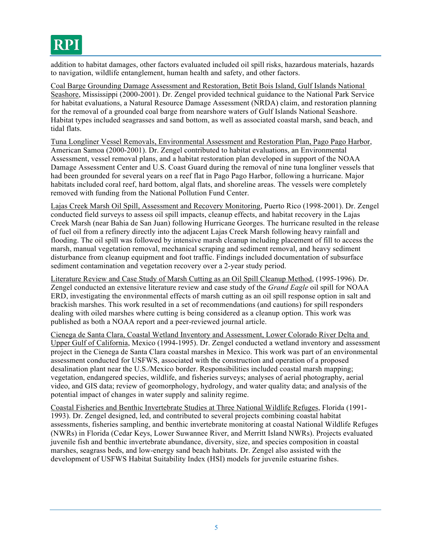# **RPI**

addition to habitat damages, other factors evaluated included oil spill risks, hazardous materials, hazards to navigation, wildlife entanglement, human health and safety, and other factors.

Coal Barge Grounding Damage Assessment and Restoration, Betit Bois Island, Gulf Islands National Seashore, Mississippi (2000-2001). Dr. Zengel provided technical guidance to the National Park Service for habitat evaluations, a Natural Resource Damage Assessment (NRDA) claim, and restoration planning for the removal of a grounded coal barge from nearshore waters of Gulf Islands National Seashore. Habitat types included seagrasses and sand bottom, as well as associated coastal marsh, sand beach, and tidal flats.

Tuna Longliner Vessel Removals, Environmental Assessment and Restoration Plan, Pago Pago Harbor, American Samoa (2000-2001). Dr. Zengel contributed to habitat evaluations, an Environmental Assessment, vessel removal plans, and a habitat restoration plan developed in support of the NOAA Damage Assessment Center and U.S. Coast Guard during the removal of nine tuna longliner vessels that had been grounded for several years on a reef flat in Pago Pago Harbor, following a hurricane. Major habitats included coral reef, hard bottom, algal flats, and shoreline areas. The vessels were completely removed with funding from the National Pollution Fund Center.

Lajas Creek Marsh Oil Spill, Assessment and Recovery Monitoring, Puerto Rico (1998-2001). Dr. Zengel conducted field surveys to assess oil spill impacts, cleanup effects, and habitat recovery in the Lajas Creek Marsh (near Bahia de San Juan) following Hurricane Georges. The hurricane resulted in the release of fuel oil from a refinery directly into the adjacent Lajas Creek Marsh following heavy rainfall and flooding. The oil spill was followed by intensive marsh cleanup including placement of fill to access the marsh, manual vegetation removal, mechanical scraping and sediment removal, and heavy sediment disturbance from cleanup equipment and foot traffic. Findings included documentation of subsurface sediment contamination and vegetation recovery over a 2-year study period.

Literature Review and Case Study of Marsh Cutting as an Oil Spill Cleanup Method, (1995-1996). Dr. Zengel conducted an extensive literature review and case study of the *Grand Eagle* oil spill for NOAA ERD, investigating the environmental effects of marsh cutting as an oil spill response option in salt and brackish marshes. This work resulted in a set of recommendations (and cautions) for spill responders dealing with oiled marshes where cutting is being considered as a cleanup option. This work was published as both a NOAA report and a peer-reviewed journal article.

Cienega de Santa Clara, Coastal Wetland Inventory and Assessment, Lower Colorado River Delta and Upper Gulf of California, Mexico (1994-1995). Dr. Zengel conducted a wetland inventory and assessment project in the Cienega de Santa Clara coastal marshes in Mexico. This work was part of an environmental assessment conducted for USFWS, associated with the construction and operation of a proposed desalination plant near the U.S./Mexico border. Responsibilities included coastal marsh mapping; vegetation, endangered species, wildlife, and fisheries surveys; analyses of aerial photography, aerial video, and GIS data; review of geomorphology, hydrology, and water quality data; and analysis of the potential impact of changes in water supply and salinity regime.

Coastal Fisheries and Benthic Invertebrate Studies at Three National Wildlife Refuges, Florida (1991- 1993). Dr. Zengel designed, led, and contributed to several projects combining coastal habitat assessments, fisheries sampling, and benthic invertebrate monitoring at coastal National Wildlife Refuges (NWRs) in Florida (Cedar Keys, Lower Suwannee River, and Merritt Island NWRs). Projects evaluated juvenile fish and benthic invertebrate abundance, diversity, size, and species composition in coastal marshes, seagrass beds, and low-energy sand beach habitats. Dr. Zengel also assisted with the development of USFWS Habitat Suitability Index (HSI) models for juvenile estuarine fishes.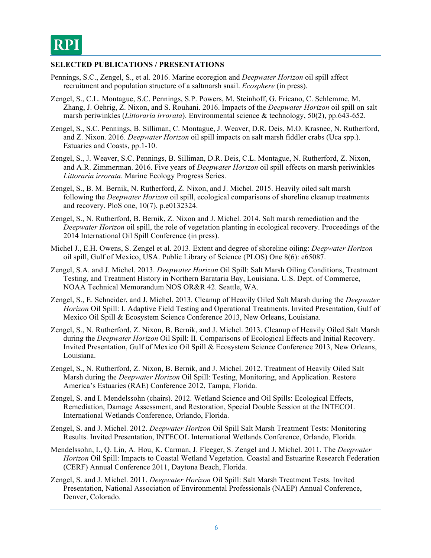### **SELECTED PUBLICATIONS / PRESENTATIONS**

- Pennings, S.C., Zengel, S., et al. 2016. Marine ecoregion and *Deepwater Horizon* oil spill affect recruitment and population structure of a saltmarsh snail. *Ecosphere* (in press).
- Zengel, S., C.L. Montague, S.C. Pennings, S.P. Powers, M. Steinhoff, G. Fricano, C. Schlemme, M. Zhang, J. Oehrig, Z. Nixon, and S. Rouhani. 2016. Impacts of the *Deepwater Horizon* oil spill on salt marsh periwinkles (*Littoraria irrorata*). Environmental science & technology, 50(2), pp.643-652.
- Zengel, S., S.C. Pennings, B. Silliman, C. Montague, J. Weaver, D.R. Deis, M.O. Krasnec, N. Rutherford, and Z. Nixon. 2016. *Deepwater Horizon* oil spill impacts on salt marsh fiddler crabs (Uca spp.). Estuaries and Coasts, pp.1-10.
- Zengel, S., J. Weaver, S.C. Pennings, B. Silliman, D.R. Deis, C.L. Montague, N. Rutherford, Z. Nixon, and A.R. Zimmerman. 2016. Five years of *Deepwater Horizon* oil spill effects on marsh periwinkles *Littoraria irrorata*. Marine Ecology Progress Series.
- Zengel, S., B. M. Bernik, N. Rutherford, Z. Nixon, and J. Michel. 2015. Heavily oiled salt marsh following the *Deepwater Horizon* oil spill, ecological comparisons of shoreline cleanup treatments and recovery. PloS one, 10(7), p.e0132324.
- Zengel, S., N. Rutherford, B. Bernik, Z. Nixon and J. Michel. 2014. Salt marsh remediation and the *Deepwater Horizon* oil spill, the role of vegetation planting in ecological recovery. Proceedings of the 2014 International Oil Spill Conference (in press).
- Michel J., E.H. Owens, S. Zengel et al. 2013. Extent and degree of shoreline oiling: *Deepwater Horizon* oil spill, Gulf of Mexico, USA. Public Library of Science (PLOS) One 8(6): e65087.
- Zengel, S.A. and J. Michel. 2013. *Deepwater Horizon* Oil Spill: Salt Marsh Oiling Conditions, Treatment Testing, and Treatment History in Northern Barataria Bay, Louisiana. U.S. Dept. of Commerce, NOAA Technical Memorandum NOS OR&R 42. Seattle, WA.
- Zengel, S., E. Schneider, and J. Michel. 2013. Cleanup of Heavily Oiled Salt Marsh during the *Deepwater Horizon* Oil Spill: I. Adaptive Field Testing and Operational Treatments. Invited Presentation, Gulf of Mexico Oil Spill & Ecosystem Science Conference 2013, New Orleans, Louisiana.
- Zengel, S., N. Rutherford, Z. Nixon, B. Bernik, and J. Michel. 2013. Cleanup of Heavily Oiled Salt Marsh during the *Deepwater Horizon* Oil Spill: II. Comparisons of Ecological Effects and Initial Recovery. Invited Presentation, Gulf of Mexico Oil Spill & Ecosystem Science Conference 2013, New Orleans, Louisiana.
- Zengel, S., N. Rutherford, Z. Nixon, B. Bernik, and J. Michel. 2012. Treatment of Heavily Oiled Salt Marsh during the *Deepwater Horizon* Oil Spill: Testing, Monitoring, and Application. Restore America's Estuaries (RAE) Conference 2012, Tampa, Florida.
- Zengel, S. and I. Mendelssohn (chairs). 2012. Wetland Science and Oil Spills: Ecological Effects, Remediation, Damage Assessment, and Restoration, Special Double Session at the INTECOL International Wetlands Conference, Orlando, Florida.
- Zengel, S. and J. Michel. 2012. *Deepwater Horizon* Oil Spill Salt Marsh Treatment Tests: Monitoring Results. Invited Presentation, INTECOL International Wetlands Conference, Orlando, Florida.
- Mendelssohn, I., Q. Lin, A. Hou, K. Carman, J. Fleeger, S. Zengel and J. Michel. 2011. The *Deepwater Horizon* Oil Spill: Impacts to Coastal Wetland Vegetation. Coastal and Estuarine Research Federation (CERF) Annual Conference 2011, Daytona Beach, Florida.
- Zengel, S. and J. Michel. 2011. *Deepwater Horizon* Oil Spill: Salt Marsh Treatment Tests. Invited Presentation, National Association of Environmental Professionals (NAEP) Annual Conference, Denver, Colorado.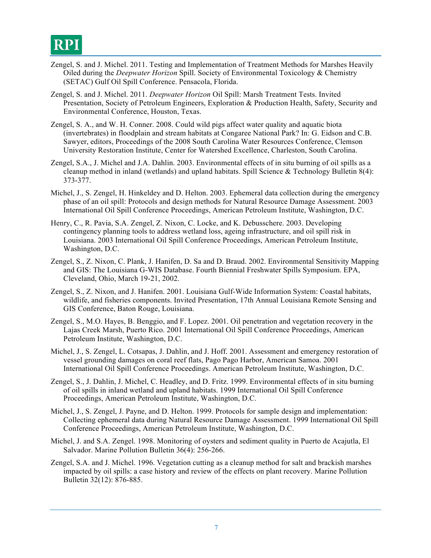- Zengel, S. and J. Michel. 2011. Testing and Implementation of Treatment Methods for Marshes Heavily Oiled during the *Deepwater Horizon* Spill. Society of Environmental Toxicology & Chemistry (SETAC) Gulf Oil Spill Conference. Pensacola, Florida.
- Zengel, S. and J. Michel. 2011. *Deepwater Horizon* Oil Spill: Marsh Treatment Tests. Invited Presentation, Society of Petroleum Engineers, Exploration & Production Health, Safety, Security and Environmental Conference, Houston, Texas.
- Zengel, S. A., and W. H. Conner. 2008. Could wild pigs affect water quality and aquatic biota (invertebrates) in floodplain and stream habitats at Congaree National Park? In: G. Eidson and C.B. Sawyer, editors, Proceedings of the 2008 South Carolina Water Resources Conference, Clemson University Restoration Institute, Center for Watershed Excellence, Charleston, South Carolina.
- Zengel, S.A., J. Michel and J.A. Dahlin. 2003. Environmental effects of in situ burning of oil spills as a cleanup method in inland (wetlands) and upland habitats. Spill Science  $\&$  Technology Bulletin 8(4): 373-377.
- Michel, J., S. Zengel, H. Hinkeldey and D. Helton. 2003. Ephemeral data collection during the emergency phase of an oil spill: Protocols and design methods for Natural Resource Damage Assessment. 2003 International Oil Spill Conference Proceedings, American Petroleum Institute, Washington, D.C.
- Henry, C., R. Pavia, S.A. Zengel, Z. Nixon, C. Locke, and K. Debusschere. 2003. Developing contingency planning tools to address wetland loss, ageing infrastructure, and oil spill risk in Louisiana. 2003 International Oil Spill Conference Proceedings, American Petroleum Institute, Washington, D.C.
- Zengel, S., Z. Nixon, C. Plank, J. Hanifen, D. Sa and D. Braud. 2002. Environmental Sensitivity Mapping and GIS: The Louisiana G-WIS Database. Fourth Biennial Freshwater Spills Symposium. EPA, Cleveland, Ohio, March 19-21, 2002.
- Zengel, S., Z. Nixon, and J. Hanifen. 2001. Louisiana Gulf-Wide Information System: Coastal habitats, wildlife, and fisheries components. Invited Presentation, 17th Annual Louisiana Remote Sensing and GIS Conference, Baton Rouge, Louisiana.
- Zengel, S., M.O. Hayes, B. Benggio, and F. Lopez. 2001. Oil penetration and vegetation recovery in the Lajas Creek Marsh, Puerto Rico. 2001 International Oil Spill Conference Proceedings, American Petroleum Institute, Washington, D.C.
- Michel, J., S. Zengel, L. Cotsapas, J. Dahlin, and J. Hoff. 2001. Assessment and emergency restoration of vessel grounding damages on coral reef flats, Pago Pago Harbor, American Samoa. 2001 International Oil Spill Conference Proceedings. American Petroleum Institute, Washington, D.C.
- Zengel, S., J. Dahlin, J. Michel, C. Headley, and D. Fritz. 1999. Environmental effects of in situ burning of oil spills in inland wetland and upland habitats. 1999 International Oil Spill Conference Proceedings, American Petroleum Institute, Washington, D.C.
- Michel, J., S. Zengel, J. Payne, and D. Helton. 1999. Protocols for sample design and implementation: Collecting ephemeral data during Natural Resource Damage Assessment. 1999 International Oil Spill Conference Proceedings, American Petroleum Institute, Washington, D.C.
- Michel, J. and S.A. Zengel. 1998. Monitoring of oysters and sediment quality in Puerto de Acajutla, El Salvador. Marine Pollution Bulletin 36(4): 256-266.
- Zengel, S.A. and J. Michel. 1996. Vegetation cutting as a cleanup method for salt and brackish marshes impacted by oil spills: a case history and review of the effects on plant recovery. Marine Pollution Bulletin 32(12): 876-885.